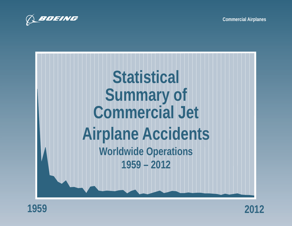







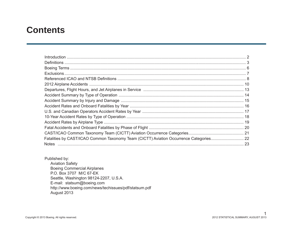### **Contents**

Published by: **Aviation Safety Boeing Commercial Airplanes** P.O. Box 3707 M/C 67-EK Seattle, Washington 98124-2207, U.S.A. E-mail: statsum@boeing.com http://www.boeing.com/news/techissues/pdf/statsum.pdf August 2013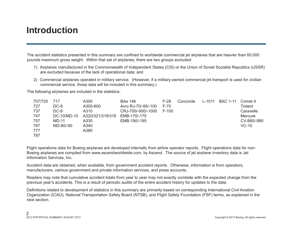# **Introduction**

The accident statistics presented in this summary are confined to worldwide commercial jet airplanes that are heavier than 60,000 pounds maximum gross weight. Within that set of airplanes, there are two groups excluded:

- 1) Airplanes manufactured in the Commonwealth of Independent States (CIS) or the Union of Soviet Socialist Republics (USSR) are excluded because of the lack of operational data; and
- 2) Commercial airplanes operated in military service. (However, if a military-owned commercial jet transport is used for civilian commercial service, those data will be included in this summary.)

The following airplanes are included in the statistics:

| 707/720 | 717         | A300             | <b>BAe 146</b>      | $F-28$  | Concorde | $L - 1011$ | <b>BAC 1-11</b> | Comet 4     |
|---------|-------------|------------------|---------------------|---------|----------|------------|-----------------|-------------|
| 727     | DC-8        | A300-600         | Avro RJ-70/-85/-100 | $F-70$  |          |            |                 | Trident     |
| 737     | $DC-9$      | A310             | CRJ-700/-900/-1000  | $F-100$ |          |            |                 | Caravelle   |
| 747     | DC-10/MD-10 | A320/321/319/318 | EMB-170/-175        |         |          |            |                 | Mercure     |
| 757     | MD-11       | A330             | EMB-190/-195        |         |          |            |                 | CV-880/-990 |
| 767     | MD-80/-90   | A340             |                     |         |          |            |                 | VC-10       |
| 777     |             | A380             |                     |         |          |            |                 |             |
| 787     |             |                  |                     |         |          |            |                 |             |

Flight operations data for Boeing airplanes are developed internally from airline operator reports. Flight operations data for non-Boeing airplanes are compiled from www.ascendworldwide.com, by Ascend. The source of jet airplane inventory data is Jet Information Services, Inc.

Accident data are obtained, when available, from government accident reports. Otherwise, information is from operators, manufacturers, various government and private information services, and press accounts.

Readers may note that cumulative accident totals from year to year may not exactly correlate with the expected change from the previous year's accidents. This is a result of periodic audits of the entire accident history for updates to the data.

Definitions related to development of statistics in this summary are primarily based on corresponding International Civil Aviation Organization (ICAO), National Transportation Safety Board (NTSB), and Flight Safety Foundation (FSF) terms, as explained in the next section.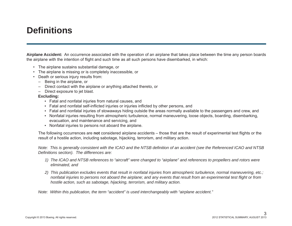### **Defi nitions**

**Airplane Accident:** An occurrence associated with the operation of an airplane that takes place between the time any person boards the airplane with the intention of flight and such time as all such persons have disembarked, in which:

- The airplane sustains substantial damage, or
- The airplane is missing or is completely inaccessible, or
- Death or serious injury results from:
	- Being in the airplane, or
	- Direct contact with the airplane or anything attached thereto, or
	- Direct exposure to jet blast.

### **Excluding:**

- Fatal and nonfatal injuries from natural causes, and
- Fatal and nonfatal self-inflicted injuries or injuries inflicted by other persons, and
- Fatal and nonfatal injuries of stowaways hiding outside the areas normally available to the passengers and crew, and
- Nonfatal injuries resulting from atmospheric turbulence, normal maneuvering, loose objects, boarding, disembarking, evacuation, and maintenance and servicing, and
- Nonfatal injuries to persons not aboard the airplane.

The following occurrences are **not** considered airplane accidents – those that are the result of experimental test flights or the result of a hostile action, including sabotage, hijacking, terrorism, and military action.

*Note: This is generally consistent with the ICAO and the NTSB definition of an accident (see the Referenced ICAO and NTSB Defi nitions section). The differences are:* 

- *1) The ICAO and NTSB references to "aircraft" were changed to "airplane" and references to propellers and rotors were eliminated, and*
- *2) This publication excludes events that result in nonfatal injuries from atmospheric turbulence, normal maneuvering, etc.; nonfatal injuries to persons not aboard the airplane; and any events that result from an experimental test flight or from hostile action, such as sabotage, hijacking, terrorism, and military action.*

 *Note: Within this publication, the term "accident" is used interchangeably with "airplane accident."*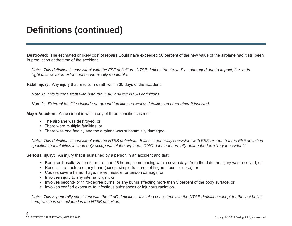# **Defi nitions (continued)**

**Destroyed:** The estimated or likely cost of repairs would have exceeded 50 percent of the new value of the airplane had it still been in production at the time of the accident.

*Note: This definition is consistent with the FSF definition. NTSB defines "destroyed" as damaged due to impact, fire, or infl ight failures to an extent not economically repairable.*

**Fatal Injury:** Any injury that results in death within 30 days of the accident.

*Note 1: This is consistent with both the ICAO and the NTSB definitions.* 

 *Note 2: External fatalities include on-ground fatalities as well as fatalities on other aircraft involved.*

**Major Accident:** An accident in which any of three conditions is met:

- The airplane was destroyed, or
- There were multiple fatalities, or
- There was one fatality and the airplane was substantially damaged.

*Note: This definition is consistent with the NTSB definition. It also is generally consistent with FSF, except that the FSF definition specifi es that fatalities include only occupants of the airplane. ICAO does not normally defi ne the term "major accident."*

**Serious Injury:** An injury that is sustained by a person in an accident and that:

- Requires hospitalization for more than 48 hours, commencing within seven days from the date the injury was received, or
- Results in a fracture of any bone (except simple fractures of fingers, toes, or nose), or
- Causes severe hemorrhage, nerve, muscle, or tendon damage, or
- Involves injury to any internal organ, or
- Involves second- or third-degree burns, or any burns affecting more than 5 percent of the body surface, or
- Involves verified exposure to infectious substances or injurious radiation.

*Note: This is generally consistent with the ICAO definition. It is also consistent with the NTSB definition except for the last bullet item, which is not included in the NTSB definition.*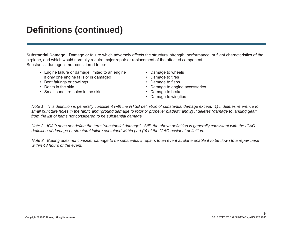# **Defi nitions (continued)**

**Substantial Damage:** Damage or failure which adversely affects the structural strength, performance, or flight characteristics of the airplane, and which would normally require major repair or replacement of the affected component. Substantial damage is **not** considered to be:

- Engine failure or damage limited to an engine Damage to wheels if only one engine fails or is damaged • Damage to tires
- Bent fairings or cowlings  **Damage to flaps**
- 
- Small puncture holes in the skin **•** Damage to brakes
- 
- 
- 
- Dents in the skin **•** Damage to engine accessories
	-
	- Damage to wingtips

 *Note 1: This defi nition is generally consistent with the NTSB defi nition of substantial damage except: 1) It deletes reference to small puncture holes in the fabric and "ground damage to rotor or propeller blades"; and 2) It deletes "damage to landing gear" from the list of items not considered to be substantial damage.* 

*Note 2: ICAO does not define the term "substantial damage". Still, the above definition is generally consistent with the ICAO defi nition of damage or structural failure contained within part (b) of the ICAO accident defi nition.*

*Note 3: Boeing does not consider damage to be substantial if repairs to an event airplane enable it to be flown to a repair base within 48 hours of the event.*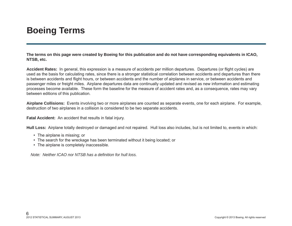# **Boeing Terms**

**The terms on this page were created by Boeing for this publication and do not have corresponding equivalents in ICAO, NTSB, etc.**

Accident Rates: In general, this expression is a measure of accidents per million departures. Departures (or flight cycles) are used as the basis for calculating rates, since there is a stronger statistical correlation between accidents and departures than there is between accidents and flight hours, or between accidents and the number of airplanes in service, or between accidents and passenger miles or freight miles. Airplane departures data are continually updated and revised as new information and estimating processes become available. These form the baseline for the measure of accident rates and, as a consequence, rates may vary between editions of this publication.

**Airplane Collisions:** Events involving two or more airplanes are counted as separate events, one for each airplane. For example, destruction of two airplanes in a collision is considered to be two separate accidents.

**Fatal Accident:** An accident that results in fatal injury.

**Hull Loss:** Airplane totally destroyed or damaged and not repaired. Hull loss also includes, but is not limited to, events in which:

- The airplane is missing; or
- The search for the wreckage has been terminated without it being located; or
- The airplane is completely inaccessible.

*Note: Neither ICAO nor NTSB has a definition for hull loss.*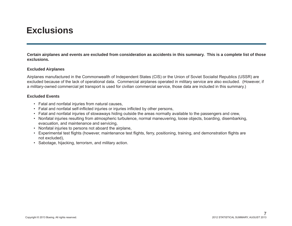### **Exclusions**

**Certain airplanes and events are excluded from consideration as accidents in this summary. This is a complete list of those exclusions.**

### **Excluded Airplanes**

Airplanes manufactured in the Commonwealth of Independent States (CIS) or the Union of Soviet Socialist Republics (USSR) are excluded because of the lack of operational data. Commercial airplanes operated in military service are also excluded. (However, if a military-owned commercial jet transport is used for civilian commercial service, those data are included in this summary.)

### **Excluded Events**

- Fatal and nonfatal injuries from natural causes,
- Fatal and nonfatal self-inflicted injuries or injuries inflicted by other persons,
- Fatal and nonfatal injuries of stowaways hiding outside the areas normally available to the passengers and crew,
- Nonfatal injuries resulting from atmospheric turbulence, normal maneuvering, loose objects, boarding, disembarking, evacuation, and maintenance and servicing,
- Nonfatal injuries to persons not aboard the airplane,
- Experimental test flights (however, maintenance test flights, ferry, positioning, training, and demonstration flights are not excluded),
- Sabotage, hijacking, terrorism, and military action.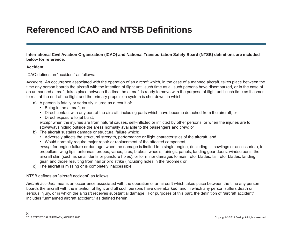# **Referenced ICAO and NTSB Defi nitions**

**International Civil Aviation Organization (ICAO) and National Transportation Safety Board (NTSB) defi nitions are included below for reference.** 

### **Accident**

ICAO defines an "accident" as follows:

*Accident.* An occurrence associated with the operation of an aircraft which, in the case of a manned aircraft, takes place between the time any person boards the aircraft with the intention of flight until such time as all such persons have disembarked, or in the case of an unmanned aircraft, takes place between the time the aircraft is ready to move with the purpose of flight until such time as it comes to rest at the end of the flight and the primary propulsion system is shut down, in which:

- a) A person is fatally or seriously injured as a result of:
	- Being in the aircraft, or
	- Direct contact with any part of the aircraft, including parts which have become detached from the aircraft, or
	- Direct exposure to jet blast,

*except* when the injuries are from natural causes, self-inflicted or inflicted by other persons, or when the injuries are to stowaways hiding outside the areas normally available to the passengers and crew; or

- b) The aircraft sustains damage or structural failure which:
	- Adversely affects the structural strength, performance or flight characteristics of the aircraft, and
	- Would normally require major repair or replacement of the affected component,

*except* for engine failure or damage, when the damage is limited to a single engine, (including its cowlings or accessories), to propellers, wing tips, antennas, probes, vanes, tires, brakes, wheels, fairings, panels, landing gear doors, windscreens, the aircraft skin (such as small dents or puncture holes), or for minor damages to main rotor blades, tail rotor blades, landing gear, and those resulting from hail or bird strike (including holes in the radome); or

c) The aircraft is missing or is completely inaccessible.

NTSB defines an "aircraft accident" as follows:

*Aircraft accident* means an occurrence associated with the operation of an aircraft which takes place between the time any person boards the aircraft with the intention of flight and all such persons have disembarked, and in which any person suffers death or serious injury, or in which the aircraft receives substantial damage. For purposes of this part, the definition of "aircraft accident" includes "unmanned aircraft accident." as defined herein.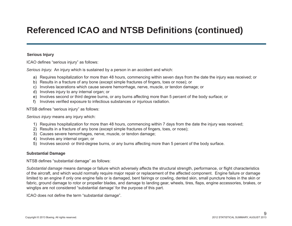# **Referenced ICAO and NTSB Definitions (continued)**

### **Serious Injury**

ICAO defines "serious injury" as follows:

*Serious Injury.* An injury which is sustained by a person in an accident and which:

- a) Requires hospitalization for more than 48 hours, commencing within seven days from the date the injury was received; or
- b) Results in a fracture of any bone (except simple fractures of fingers, toes or nose); or
- c) Involves lacerations which cause severe hemorrhage, nerve, muscle, or tendon damage; or
- d) Involves injury to any internal organ; or
- e) Involves second or third degree burns, or any burns affecting more than 5 percent of the body surface; or
- f) Involves verified exposure to infectious substances or injurious radiation.

### NTSB defines "serious injury" as follows:

*Serious injury* means any injury which:

- 1) Requires hospitalization for more than 48 hours, commencing within 7 days from the date the injury was received;
- 2) Results in a fracture of any bone (except simple fractures of fingers, toes, or nose);
- 3) Causes severe hemorrhages, nerve, muscle, or tendon damage;
- 4) Involves any internal organ; or
- 5) Involves second- or third-degree burns, or any burns affecting more than 5 percent of the body surface.

### **Substantial Damage**

NTSB defines "substantial damage" as follows:

*Substantial damage* means damage or failure which adversely affects the structural strength, performance, or flight characteristics of the aircraft, and which would normally require major repair or replacement of the affected component. Engine failure or damage limited to an engine if only one engine fails or is damaged, bent fairings or cowling, dented skin, small puncture holes in the skin or fabric, ground damage to rotor or propeller blades, and damage to landing gear, wheels, tires, flaps, engine accessories, brakes, or wingtips are not considered "substantial damage' for the purpose of this part.

ICAO does not define the term "substantial damage".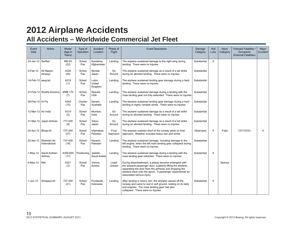### **2012 Airplane Accidents All Accidents – Worldwide Commercial Jet Fleet**

| Event<br>Date         | Airline                                  | Model<br>(Age in<br>Years) | Type of<br>Operation | Accident<br>Location        | Phase of<br>Flight | <b>Event Description</b>                                                                                                                                                                                                                                                | Damage<br>Category | <b>Hull</b><br>Loss | Injury<br>Category | <b>Onboard Fatalities /</b><br>Occupants<br>(External Fatalities) | Major<br>Accident |
|-----------------------|------------------------------------------|----------------------------|----------------------|-----------------------------|--------------------|-------------------------------------------------------------------------------------------------------------------------------------------------------------------------------------------------------------------------------------------------------------------------|--------------------|---------------------|--------------------|-------------------------------------------------------------------|-------------------|
|                       |                                          |                            |                      |                             |                    |                                                                                                                                                                                                                                                                         |                    |                     |                    |                                                                   |                   |
| 24-Jan-12 Swiftair    |                                          | MD-83<br>(22)              | Sched<br>Pax         | Kandahar,<br>Afghanistan    | Landing            | The airplane sustained damage to the right wing during<br>landing. There were no injuries.                                                                                                                                                                              | Substantial        | X                   |                    |                                                                   |                   |
| 5-Feb-12              | All Nippon<br>Airways                    | A320<br>(20)               | Sched<br>Pax         | Sendai,<br>Japan            | Go<br>Around       | The airplane sustained damage as a result of a tail strike<br>during an aborted landing. There were no injuries.                                                                                                                                                        | Substantial        |                     |                    |                                                                   |                   |
| 14-Feb-12 easyJet     |                                          | A319<br>(1)                | Sched<br>Pax         | Luton,<br>United<br>Kingdom | Landing            | The airplane sustained landing gear damage during a hard<br>landing. There were no injuries.                                                                                                                                                                            | Substantial        |                     |                    |                                                                   |                   |
|                       | 27-Feb-12 Shuttle America                | <b>EMB 170</b><br>(7)      | Sched<br>Pax         | Newark,<br><b>USA</b>       | Landing            | The airplane sustained damage during a landing with the<br>nose landing gear not fully extended. There were no injuries.                                                                                                                                                | Substantial        |                     |                    |                                                                   |                   |
| 28-Feb-12 Hi Fly      |                                          | A340<br>(15)               | Charter<br>Pax       | Darwin.<br>Australia        | Landing            | The airplane sustained landing gear damage during a hard<br>landing in highly variable winds. There were no injuries.                                                                                                                                                   | Substantial        |                     |                    |                                                                   |                   |
| 12-Mar-12 Air India   |                                          | A319<br>(2)                | Sched<br>Pax         | Mumbai,<br>India            | Go<br>Around       | The airplane sustained damage as a result of a tail strike<br>during an aborted landing. There were no injuries.                                                                                                                                                        | Substantial        |                     |                    |                                                                   |                   |
|                       | 31-Mar-12 Japan Airlines                 | 777-200<br>(9)             | Sched<br>Pax         | Tokyo,<br>Japan             | Go<br>Around       | The airplane sustained damage as a result of a tail strike<br>during an aborted landing. There were no injuries.                                                                                                                                                        | Substantial        |                     |                    |                                                                   |                   |
| 20-Apr-12   Bhoja Air |                                          | 737-200<br>(27)            | Sched<br>Pax         | Islamabad,<br>Pakistan      | Final<br>Approach  | The airplane crashed short of the runway while on final<br>approach. Weather included heavy rain and winds.                                                                                                                                                             | Destroyed          | $\times$            | Fatal              | 127/127(0)                                                        | X                 |
|                       | 22-Apr-12   Shaheen Air<br>International | 737-400<br>(18)            | Sched<br>Pax         | Karachi,<br>Pakistan        | Landing            | The airplane sustained damage, including damage to the<br>left engine, when the left main landing gear collapsed during<br>landing. There were no injuries.                                                                                                             | Substantial        |                     |                    |                                                                   |                   |
| $1-May-12$            | Saudi Arabian<br>Airlines                | A300-600<br>(17)           | Positioning          | Jeddah,<br>Saudi Arabia     | Landing            | The airplane sustained damage during a landing with the<br>nose landing gear retracted. There were no injuries.                                                                                                                                                         | Substantial        | X                   |                    |                                                                   |                   |
| $6$ -May-12           | Niki                                     | A321<br>(3)                | Sched<br>Pax         | Vienna.<br>Austria          | Load/<br>Unload    | During disembarkment, a jetway became entangled with<br>the airplane passenger door, suddenly lifting the airplane,<br>separating the door from the airframe and dropping the<br>airplane back onto the apron. A passenger experienced an<br>associated serious injury. |                    |                     | Serious            |                                                                   |                   |
| 1-Jun-12              | Sriwijaya Air                            | 737-400<br>(21)            | Sched<br>Pax         | Pontianak,<br>Indonesia     | Landing            | After landing in heavy rain, the airplane veered off the<br>runway and came to rest in soft ground, resting on its belly<br>and engines. The nose landing gear had also<br>collapsed. There were no injuries.                                                           | Substantial        | $\times$            |                    |                                                                   |                   |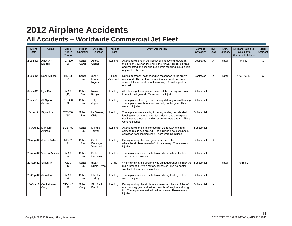### **2012 Airplane Accidents All Accidents – Worldwide Commercial Jet Fleet**

| Event<br>Date          | Airline                      | Model<br>(Age in<br>Years) | Type of<br>Operation | Accident<br>Location           | Phase of<br>Flight | <b>Event Description</b>                                                                                                                                                                                           | Damage<br>Category | Hull<br>Loss | <b>Injury</b><br>Category | <b>Onboard Fatalities /</b><br>Occupants<br>(External Fatalities) | Major<br>Accident |
|------------------------|------------------------------|----------------------------|----------------------|--------------------------------|--------------------|--------------------------------------------------------------------------------------------------------------------------------------------------------------------------------------------------------------------|--------------------|--------------|---------------------------|-------------------------------------------------------------------|-------------------|
| 2-Jun-12               | <b>Allied Air</b><br>Limited | 727-200<br>(30)            | Sched<br>Cargo       | Accra,<br>Ghana                | Landing            | After landing long in the vicinity of a heavy thunderstorm,<br>the airplane overran the end of the runway, crossed a road<br>and impacted an occupied bus before stopping in a dirt field<br>adjacent to the road. | Destroyed          | $\times$     | Fatal                     | 0/4(12)                                                           | $\times$          |
| $3 - Jun-12$           | Dana Airlines                | MD-83<br>(21)              | Sched<br>Pax         | (near)<br>Lagos,<br>Nigeria    | Final<br>Approach  | During approach, neither engine responded to the crew's<br>command. The airplane crashed into a populated area<br>several kilometers short of the runway. A post impact fire<br>ensued.                            | Destroyed          | X            | Fatal                     | 153/153(10)                                                       | $\times$          |
| 6-Jun-12               | EgyptAir                     | A320<br>(19)               | Sched<br>Pax         | Nairobi,<br>Kenya              | Landing            | After landing, the airplane veered off the runway and came<br>to rest in soft ground. There were no injuries.                                                                                                      | Substantial        |              |                           |                                                                   |                   |
| 20-Jun-12   All Nippon | Airways                      | 767-300<br>(9)             | Sched<br>Pax         | Tokyo,<br>Japan                | Landing            | The airplane's fuselage was damaged during a hard landing.<br>The airplane was then taxied normally to the gate. There<br>were no injuries.                                                                        | Substantial        |              |                           |                                                                   |                   |
| 18-Jul-12              | <b>Sky Airline</b>           | 737-200<br>(30)            | Sched<br>Pax         | La Serena.<br>Chile            | Landing            | The airplane struck a wingtip during landing. An aborted<br>landing was performed after touchdown, and the airplane<br>continued to a normal landing at an alternate airport. There<br>were no injuries.           | Substantial        |              |                           |                                                                   |                   |
| 17-Aug-12   Mandarin   | Airlines                     | <b>EMB 190</b><br>(4)      | Sched<br>Pax         | Makung,<br>Taiwan              | Landing            | After landing, the airplane overran the runway end and<br>came to rest in soft ground. The airplane also sustained a<br>collapsed nose landing gear. There were no injuries.                                       | Substantial        |              |                           |                                                                   |                   |
|                        | 24-Aug-12 Aserca Airlines    | MD-82<br>(21)              | Sched<br>Pax         | Santo<br>Domingo,<br>Venezuela | Landing            | During landing, the nose gear tires burst, after<br>which the airplane veered off of the runway. There were no<br>injuries.                                                                                        | Substantial        | $\times$     |                           |                                                                   |                   |
|                        | 29-Aug-12   Vueling Airlines | A320<br>(5)                | Sched<br>Pax         | Berlin,<br>Germany             | Landing            | The airplane sustained a tail strike during a hard landing.<br>There were no injuries.                                                                                                                             | Substantial        |              |                           |                                                                   |                   |
| 20-Sep-12 SyrianAir    |                              | A320<br>(12)               | Sched<br>Pax         | (near)<br>Duma, Syria          | Climb              | While climbing, the airplane was damaged when it struck the<br>main rotor of a Syrian military helicopter. The helicopter<br>went out of control and crashed.                                                      | Substantial        |              | Fatal                     | 0/156(2)                                                          |                   |
| 25-Sep-12   Air Astana |                              | A320<br>(4)                | Sched<br>Pax         | Istanbul,<br>Turkey            | Landing            | The airplane sustained a tail strike during landing. There<br>were no injuries.                                                                                                                                    | Substantial        |              |                           |                                                                   |                   |
| 13-Oct-12              | Centurion Air<br>Cargo       | <b>MD-11-F</b><br>(20)     | Sched<br>Cargo       | São Paulo,<br>Brazil           | Landing            | During landing, the airplane sustained a collapse of the left<br>main landing gear and settled onto its left engine and wing<br>tip. The airplane remained on the runway. There were no<br>injuries.               | Substantial        | $\times$     |                           |                                                                   |                   |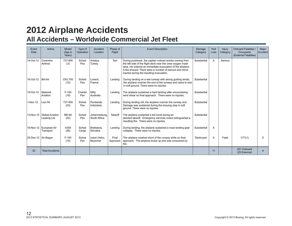# **2012 Airplane Accidents**

### **All Accidents – Worldwide Commercial Jet Fleet**

| Event<br>Date         | Airline                               | Model<br>(Age in<br>Years) | Type of<br>Operation | Accident<br>Location          | Phase of<br>Flight | <b>Event Description</b>                                                                                                                                                                                                                                                                  | Damage<br>Category | Hull<br>Loss | Injury<br>Category | <b>Onboard Fatalities /</b><br>Occupants<br>(External Fatalities) | Major<br>Accident |
|-----------------------|---------------------------------------|----------------------------|----------------------|-------------------------------|--------------------|-------------------------------------------------------------------------------------------------------------------------------------------------------------------------------------------------------------------------------------------------------------------------------------------|--------------------|--------------|--------------------|-------------------------------------------------------------------|-------------------|
| 14-Oct-12             | Corendon<br>Airlines                  | 737-800<br>(3)             | Sched<br>Pax         | Antalya,<br>Turkey            | Taxi               | During pushback, the captain noticed smoke coming from<br>the left side of the flight deck near the crew oxygen mask<br>area. He ordered an immediate evacuation of the airplane.<br>A fire ensued. There were a number of serious and minor<br>injuries during the resulting evacuation. | Substantial        | X            | Serious            |                                                                   |                   |
| 16-Oct-12             | <b>Brit Air</b>                       | <b>CRJ 700</b><br>(10)     | Sched<br>Pax         | Lorient.<br>France            | Landing            | During landing on a wet runway with strong gusting winds,<br>the airplane overran the end of the runway and came to rest<br>in soft ground. There were no injuries.                                                                                                                       | Substantial        |              |                    |                                                                   |                   |
| 19-Oct-12             | Network<br>Aviation                   | $F-100$<br>(19)            | Charter<br>Pax       | Nifty,<br>Australia           | Landing            | The airplane sustained a hard landing after encountering<br>wind shear on final approach. There were no injuries.                                                                                                                                                                         | Substantial        |              |                    |                                                                   |                   |
| 1-Nov-12              | Lion Air                              | 737-400<br>(23)            | Sched<br>Pax         | Pontianak.<br>Indonesia       | Landing            | During landing roll, the airplane overran the runway end.<br>Damage was sustained during the ensuing stop in soft<br>ground. There were no injuries.                                                                                                                                      | Substantial        |              |                    |                                                                   |                   |
| 13-Nov-12             | <b>Global Aviation</b><br>Leasing Ltd | <b>MD-82</b><br>(22)       | Sched<br>Pax         | Johannesburg.<br>South Africa | Takeoff            | The airplane sustained a tire burst during an<br>aborted takeoff. Emergency services crews extinguished a<br>resulting fire. There were no injuries.                                                                                                                                      | Substantial        |              |                    |                                                                   |                   |
| 16-Nov-12             | European Air<br>Transport             | A300<br>(26)               | Sched<br>Cargo       | Bratislava,<br>Slovakia       | Landing            | During landing, the airplane sustained a nose landing gear<br>collapse. There were no injuries.                                                                                                                                                                                           | Substantial        | X            |                    |                                                                   |                   |
| 25-Dec-12   Air Bagan |                                       | $F-100$<br>(19)            | Sched<br>Pax         | (near) Heho,<br>Myanmar       | Final<br>Approach  | The airplane crashed short of the runway while on final<br>approach. The airplane broke up and was consumed by<br>fire.                                                                                                                                                                   | Destroyed          | X            | Fatal              | 1/71(1)                                                           | X                 |
| 30                    | <b>Total Accidents</b>                |                            |                      |                               |                    |                                                                                                                                                                                                                                                                                           |                    | 11           |                    | 281 Onboard<br>(25 External)                                      | $\overline{4}$    |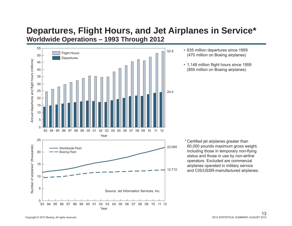### **Departures, Flight Hours, and Jet Airplanes in Service\* Worldwide Operations – 1993 Through 2012**



- 635 million departures since 1959 (470 million on Boeing airplanes)
- 1,148 million flight hours since 1959 (855 million on Boeing airplanes)

\* Certi fi ed jet airplanes greater than 60,000 pounds maximum gross weight, including those in temporary non-flying status and those in use by non-airline operators. Excluded are commercial airplanes operated in military service and CIS/USSR-manufactured airplanes.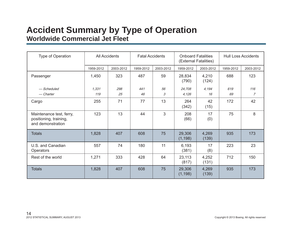### **Accident Summary by Type of Operation Worldwide Commercial Jet Fleet**

| Type of Operation                                                       |           | <b>All Accidents</b> | <b>Fatal Accidents</b> |           | <b>Onboard Fatalities</b> | (External Fatalities) | <b>Hull Loss Accidents</b> |           |  |
|-------------------------------------------------------------------------|-----------|----------------------|------------------------|-----------|---------------------------|-----------------------|----------------------------|-----------|--|
|                                                                         | 1959-2012 | 2003-2012            | 1959-2012              | 2003-2012 | 1959-2012                 | 2003-2012             | 1959-2012                  | 2003-2012 |  |
| Passenger                                                               | 1,450     | 323                  | 487                    | 59        | 28,834<br>(790)           | 4,210<br>(124)        | 688                        | 123       |  |
| - Scheduled                                                             | 1.331     | 298                  | 441                    | 56        | 24,708                    | 4,194                 | 619                        | 116       |  |
| — Charter                                                               | 119       | 25                   | 46                     | 3         | 4,126                     | 16                    | 69                         | 7         |  |
| Cargo                                                                   | 255       | 71                   | 77                     | 13        | 264<br>(342)              | 42<br>(15)            | 172                        | 42        |  |
| Maintenance test, ferry,<br>positioning, training,<br>and demonstration | 123       | 13                   | 44                     | 3         | 208<br>(66)               | 17<br>(0)             | 75                         | 8         |  |
| <b>Totals</b>                                                           | 1,828     | 407                  | 608                    | 75        | 29,306<br>(1, 198)        | 4,269<br>(139)        | 935                        | 173       |  |
| U.S. and Canadian<br>Operators                                          | 557       | 74                   | 180                    | 11        | 6,193<br>(381)            | 17<br>(8)             | 223                        | 23        |  |
| Rest of the world                                                       | 1,271     | 333                  | 428                    | 64        | 23,113<br>(817)           | 4,252<br>(131)        | 712                        | 150       |  |
| <b>Totals</b>                                                           | 1,828     | 407                  | 608                    | 75        | 29,306<br>(1, 198)        | 4,269<br>(139)        | 935                        | 173       |  |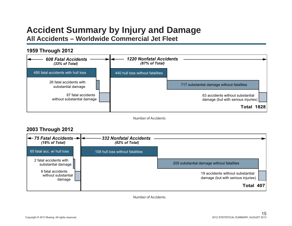### **Accident Summary by Injury and Damage All Accidents – Worldwide Commercial Jet Fleet**

#### 495 fatal accidents with hull loss26 fatal accidents withsubstantial damage 63 accidents without substantial damage (but with serious injuries) 87 fatal accidentswithout substantial damage 717 substantial damage without fatalities **1959 Through 2012** *608 Fatal Accidents(33% of Total) 1220 Nonfatal Accidents(67% of Total)* 440 hull loss without fatalities**Total 1828**

Number of Accidents

### **2003 Through 2012**



Number of Accidents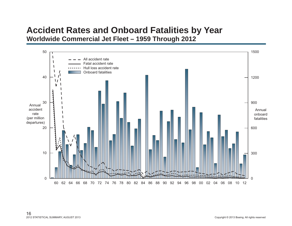### **Accident Rates and Onboard Fatalities by Year Worldwide Commercial Jet Fleet – 1959 Through 2012**

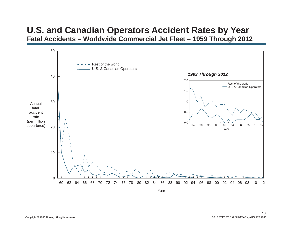### **U.S. and Canadian Operators Accident Rates by Year Fatal Accidents – Worldwide Commercial Jet Fleet – 1959 Through 2012**

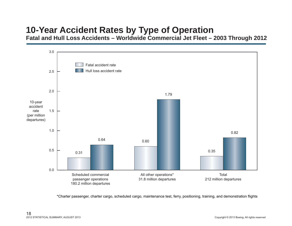# **10-Year Accident Rates by Type of Operation**

**Fatal and Hull Loss Accidents – Worldwide Commercial Jet Fleet – 2003 Through 2012**



\*Charter passenger, charter cargo, scheduled cargo, maintenance test, ferry, positioning, training, and demonstration flights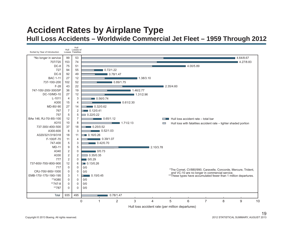### **Accident Rates by Airplane Type Hull Loss Accidents – Worldwide Commercial Jet Fleet – 1959 Through 2012**



Hull loss accident rate (per million departures)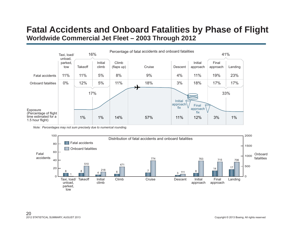### **Fatal Accidents and Onboard Fatalities by Phase of Flight Worldwide Commercial Jet Fleet – 2003 Through 2012**



*Note: Percentages may not sum precisely due to numerical rounding.*

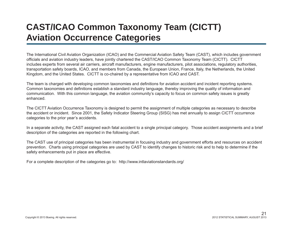# **CAST/ICAO Common Taxonomy Team (CICTT) Aviation Occurrence Categories**

The International Civil Aviation Organization (ICAO) and the Commercial Aviation Safety Team (CAST), which includes government officials and aviation industry leaders, have jointly chartered the CAST/ICAO Common Taxonomy Team (CICTT). CICTT includes experts from several air carriers, aircraft manufacturers, engine manufacturers, pilot associations, regulatory authorities, transportation safety boards, ICAO, and members from Canada, the European Union, France, Italy, the Netherlands, the United Kingdom, and the United States. CICTT is co-chaired by a representative from ICAO and CAST.

The team is charged with developing common taxonomies and definitions for aviation accident and incident reporting systems. Common taxonomies and definitions establish a standard industry language, thereby improving the quality of information and communication. With this common language, the aviation community's capacity to focus on common safety issues is greatly enhanced.

The CICTT Aviation Occurrence Taxonomy is designed to permit the assignment of multiple categories as necessary to describe the accident or incident. Since 2001, the Safety Indicator Steering Group (SISG) has met annually to assign CICTT occurrence categories to the prior year's accidents.

In a separate activity, the CAST assigned each fatal accident to a single principal category. Those accident assignments and a brief description of the categories are reported in the following chart.

The CAST use of principal categories has been instrumental in focusing industry and government efforts and resources on accident prevention. Charts using principal categories are used by CAST to identify changes to historic risk and to help to determine if the safety enhancements put in place are effective.

For a complete description of the categories go to: http://www.intlaviationstandards.org/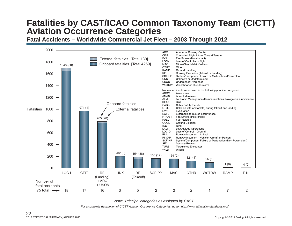# **Fatalities by CAST/ICAO Common Taxonomy Team (CICTT) Aviation Occurrence Categories**

**Fatal Accidents – Worldwide Commercial Jet Fleet – 2003 Through 2012**



*Note: Principal categories as assigned by CAST.*

*For a complete description of CICTT Aviation Occurrence Categories, go to: http://www.intlaviationstandards.org/*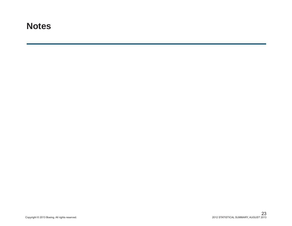### **Notes**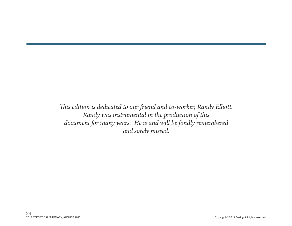*This edition is dedicated to our friend and co-worker, Randy Elliott. Randy was instrumental in the production of this document for many years. He is and will be fondly remembered and sorely missed.*